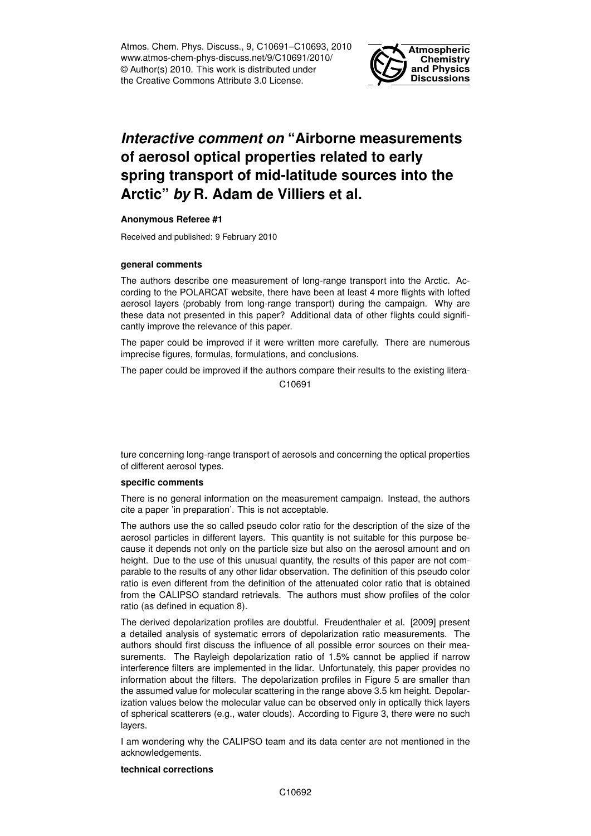Atmos. Chem. Phys. Discuss., 9, C10691–C10693, 2010 www.atmos-chem-phys-discuss.net/9/C10691/2010/ © Author(s) 2010. This work is distributed under the Creative Commons Attribute 3.0 License.



# *Interactive comment on* **"Airborne measurements of aerosol optical properties related to early spring transport of mid-latitude sources into the Arctic"** *by* **R. Adam de Villiers et al.**

### **Anonymous Referee #1**

Received and published: 9 February 2010

### **general comments**

The authors describe one measurement of long-range transport into the Arctic. According to the POLARCAT website, there have been at least 4 more flights with lofted aerosol layers (probably from long-range transport) during the campaign. Why are these data not presented in this paper? Additional data of other flights could significantly improve the relevance of this paper.

The paper could be improved if it were written more carefully. There are numerous imprecise figures, formulas, formulations, and conclusions.

The paper could be improved if the authors compare their results to the existing litera-

C10691

ture concerning long-range transport of aerosols and concerning the optical properties of different aerosol types.

## **specific comments**

There is no general information on the measurement campaign. Instead, the authors cite a paper 'in preparation'. This is not acceptable.

The authors use the so called pseudo color ratio for the description of the size of the aerosol particles in different layers. This quantity is not suitable for this purpose because it depends not only on the particle size but also on the aerosol amount and on height. Due to the use of this unusual quantity, the results of this paper are not comparable to the results of any other lidar observation. The definition of this pseudo color ratio is even different from the definition of the attenuated color ratio that is obtained from the CALIPSO standard retrievals. The authors must show profiles of the color ratio (as defined in equation 8).

The derived depolarization profiles are doubtful. Freudenthaler et al. [2009] present a detailed analysis of systematic errors of depolarization ratio measurements. The authors should first discuss the influence of all possible error sources on their measurements. The Rayleigh depolarization ratio of 1.5% cannot be applied if narrow interference filters are implemented in the lidar. Unfortunately, this paper provides no information about the filters. The depolarization profiles in Figure 5 are smaller than the assumed value for molecular scattering in the range above 3.5 km height. Depolarization values below the molecular value can be observed only in optically thick layers of spherical scatterers (e.g., water clouds). According to Figure 3, there were no such layers.

I am wondering why the CALIPSO team and its data center are not mentioned in the acknowledgements.

### **technical corrections**